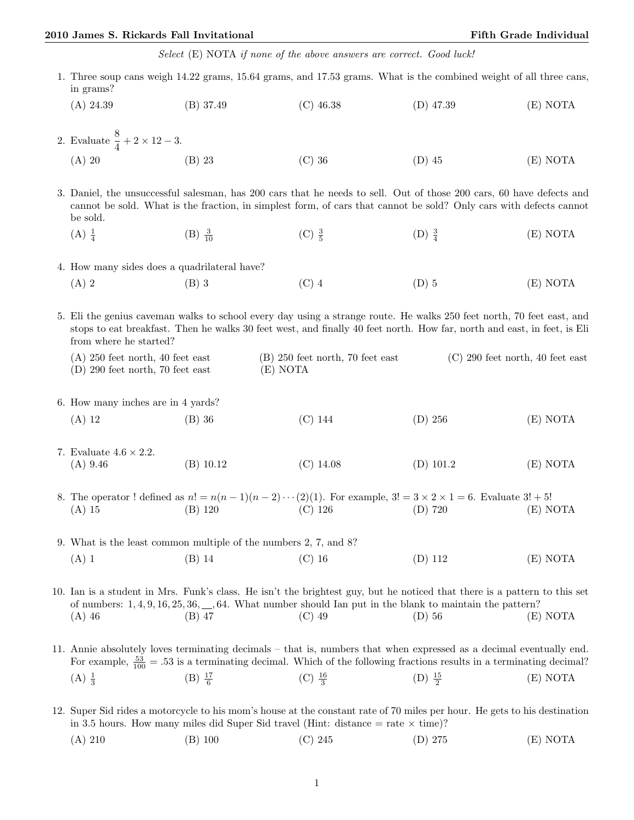Select (E) NOTA if none of the above answers are correct. Good luck!

| 1. Three soup cans weigh 14.22 grams, 15.64 grams, and 17.53 grams. What is the combined weight of all three cans,<br>in grams?                                                                                                                                            |                    |                                                                                                                                                                                                                                                                |                    |          |  |
|----------------------------------------------------------------------------------------------------------------------------------------------------------------------------------------------------------------------------------------------------------------------------|--------------------|----------------------------------------------------------------------------------------------------------------------------------------------------------------------------------------------------------------------------------------------------------------|--------------------|----------|--|
| $(A)$ 24.39                                                                                                                                                                                                                                                                | $(B)$ 37.49        | $(C)$ 46.38                                                                                                                                                                                                                                                    | $(D)$ 47.39        | (E) NOTA |  |
| 2. Evaluate $\frac{8}{4} + 2 \times 12 - 3$ .                                                                                                                                                                                                                              |                    |                                                                                                                                                                                                                                                                |                    |          |  |
| $(A)$ 20                                                                                                                                                                                                                                                                   | $(B)$ 23           | $(C)$ 36                                                                                                                                                                                                                                                       | $(D)$ 45           | (E) NOTA |  |
| 3. Daniel, the unsuccessful salesman, has 200 cars that he needs to sell. Out of those 200 cars, 60 have defects and<br>cannot be sold. What is the fraction, in simplest form, of cars that cannot be sold? Only cars with defects cannot<br>be sold.                     |                    |                                                                                                                                                                                                                                                                |                    |          |  |
| $(A) \frac{1}{4}$                                                                                                                                                                                                                                                          | $(B) \frac{3}{10}$ | (C) $\frac{3}{5}$                                                                                                                                                                                                                                              | (D) $\frac{3}{4}$  | (E) NOTA |  |
| 4. How many sides does a quadrilateral have?                                                                                                                                                                                                                               |                    |                                                                                                                                                                                                                                                                |                    |          |  |
| $(A)$ 2                                                                                                                                                                                                                                                                    | $(B)$ 3            | $(C)$ 4                                                                                                                                                                                                                                                        | $(D)$ 5            | (E) NOTA |  |
| 5. Eli the genius caveman walks to school every day using a strange route. He walks 250 feet north, 70 feet east, and<br>stops to eat breakfast. Then he walks 30 feet west, and finally 40 feet north. How far, north and east, in feet, is Eli<br>from where he started? |                    |                                                                                                                                                                                                                                                                |                    |          |  |
| $(B)$ 250 feet north, 70 feet east<br>$(C)$ 290 feet north, 40 feet east<br>$(A)$ 250 feet north, 40 feet east<br>$(D)$ 290 feet north, 70 feet east<br>(E) NOTA                                                                                                           |                    |                                                                                                                                                                                                                                                                |                    |          |  |
| 6. How many inches are in 4 yards?                                                                                                                                                                                                                                         |                    |                                                                                                                                                                                                                                                                |                    |          |  |
| $(A)$ 12                                                                                                                                                                                                                                                                   | $(B)$ 36           | $(C)$ 144                                                                                                                                                                                                                                                      | $(D)$ 256          | (E) NOTA |  |
| 7. Evaluate $4.6 \times 2.2$ .<br>$(A)$ 9.46                                                                                                                                                                                                                               | (B) 10.12          | $(C)$ 14.08                                                                                                                                                                                                                                                    | $(D)$ 101.2        | (E) NOTA |  |
| $(A)$ 15                                                                                                                                                                                                                                                                   | $(B)$ 120          | 8. The operator ! defined as $n! = n(n-1)(n-2)\cdots(2)(1)$ . For example, $3! = 3 \times 2 \times 1 = 6$ . Evaluate $3! + 5!$<br>$(C)$ 126                                                                                                                    | $(D)$ 720          | (E) NOTA |  |
|                                                                                                                                                                                                                                                                            |                    | 9. What is the least common multiple of the numbers $2, 7$ , and $8$ ?                                                                                                                                                                                         |                    |          |  |
| $(A)$ 1                                                                                                                                                                                                                                                                    | $(B)$ 14           | $(C)$ 16                                                                                                                                                                                                                                                       | $(D)$ 112          | (E) NOTA |  |
|                                                                                                                                                                                                                                                                            |                    | 10. Ian is a student in Mrs. Funk's class. He isn't the brightest guy, but he noticed that there is a pattern to this set<br>of numbers: $1, 4, 9, 16, 25, 36, \underline{\hspace{1cm}} 64$ . What number should Ian put in the blank to maintain the pattern? |                    |          |  |
| $(A)$ 46                                                                                                                                                                                                                                                                   | $(B)$ 47           | $(C)$ 49                                                                                                                                                                                                                                                       | $(D)$ 56           | (E) NOTA |  |
| 11. Annie absolutely loves terminating decimals – that is, numbers that when expressed as a decimal eventually end.<br>For example, $\frac{53}{100}$ = .53 is a terminating decimal. Which of the following fractions results in a terminating decimal?                    |                    |                                                                                                                                                                                                                                                                |                    |          |  |
| $(A) \frac{1}{3}$                                                                                                                                                                                                                                                          | $(B) \frac{17}{6}$ | (C) $\frac{16}{3}$                                                                                                                                                                                                                                             | (D) $\frac{15}{2}$ | (E) NOTA |  |
|                                                                                                                                                                                                                                                                            |                    | 12. Super Sid rides a motorcycle to his mom's house at the constant rate of 70 miles per hour. He gets to his destination<br>in 3.5 hours. How many miles did Super Sid travel (Hint: distance = rate $\times$ time)?                                          |                    |          |  |

(A) 210 (B) 100 (C) 245 (D) 275 (E) NOTA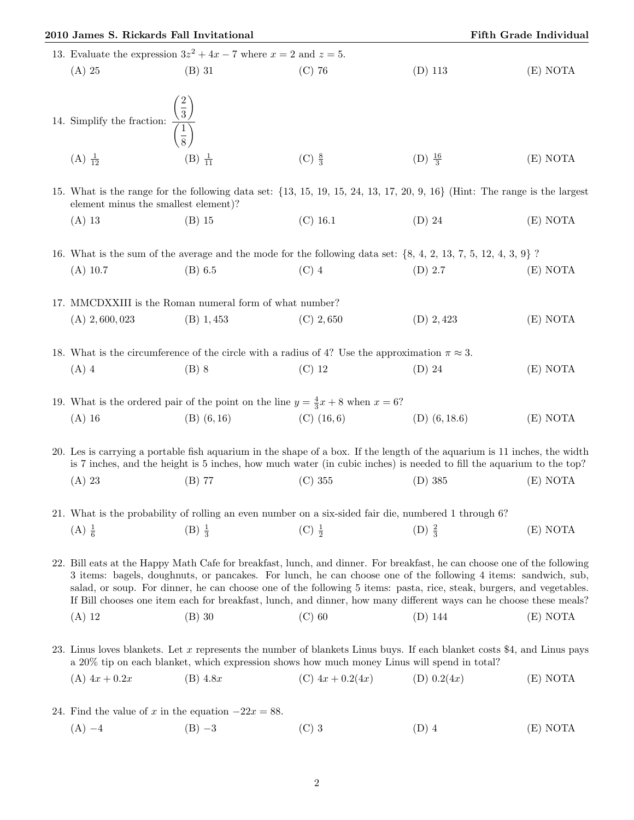|                                                                         | 2010 James S. Rickards Fall Invitational                                                                                                                                                                                                          |                                                                                                                                                                                                                                                                                                                                                              |                    |                    | Fifth Grade Individual |  |
|-------------------------------------------------------------------------|---------------------------------------------------------------------------------------------------------------------------------------------------------------------------------------------------------------------------------------------------|--------------------------------------------------------------------------------------------------------------------------------------------------------------------------------------------------------------------------------------------------------------------------------------------------------------------------------------------------------------|--------------------|--------------------|------------------------|--|
| 13. Evaluate the expression $3z^2 + 4x - 7$ where $x = 2$ and $z = 5$ . |                                                                                                                                                                                                                                                   |                                                                                                                                                                                                                                                                                                                                                              |                    |                    |                        |  |
|                                                                         | $(A)$ 25                                                                                                                                                                                                                                          | $(B)$ 31                                                                                                                                                                                                                                                                                                                                                     | $(C)$ 76           | $(D)$ 113          | (E) NOTA               |  |
|                                                                         |                                                                                                                                                                                                                                                   |                                                                                                                                                                                                                                                                                                                                                              |                    |                    |                        |  |
|                                                                         |                                                                                                                                                                                                                                                   |                                                                                                                                                                                                                                                                                                                                                              |                    |                    |                        |  |
|                                                                         | 14. Simplify the fraction: $\frac{\left(\frac{2}{3}\right)}{\left(\frac{1}{8}\right)}$                                                                                                                                                            |                                                                                                                                                                                                                                                                                                                                                              |                    |                    |                        |  |
|                                                                         |                                                                                                                                                                                                                                                   |                                                                                                                                                                                                                                                                                                                                                              |                    |                    |                        |  |
|                                                                         | $(A) \frac{1}{12}$                                                                                                                                                                                                                                | $(B) \frac{1}{11}$                                                                                                                                                                                                                                                                                                                                           | (C) $\frac{8}{3}$  | (D) $\frac{16}{3}$ | (E) NOTA               |  |
|                                                                         | 15. What is the range for the following data set: $\{13, 15, 19, 15, 24, 13, 17, 20, 9, 16\}$ (Hint: The range is the largest<br>element minus the smallest element)?                                                                             |                                                                                                                                                                                                                                                                                                                                                              |                    |                    |                        |  |
|                                                                         | $(A)$ 13                                                                                                                                                                                                                                          | $(B)$ 15                                                                                                                                                                                                                                                                                                                                                     | $(C)$ 16.1         | $(D)$ 24           | (E) NOTA               |  |
|                                                                         | 16. What is the sum of the average and the mode for the following data set: $\{8, 4, 2, 13, 7, 5, 12, 4, 3, 9\}$ ?                                                                                                                                |                                                                                                                                                                                                                                                                                                                                                              |                    |                    |                        |  |
|                                                                         | $(A)$ 10.7                                                                                                                                                                                                                                        | $(B)$ 6.5                                                                                                                                                                                                                                                                                                                                                    | $(C)$ 4            | $(D)$ 2.7          | (E) NOTA               |  |
|                                                                         |                                                                                                                                                                                                                                                   |                                                                                                                                                                                                                                                                                                                                                              |                    |                    |                        |  |
|                                                                         |                                                                                                                                                                                                                                                   | 17. MMCDXXIII is the Roman numeral form of what number?                                                                                                                                                                                                                                                                                                      |                    |                    |                        |  |
|                                                                         | $(A)$ 2, 600, 023                                                                                                                                                                                                                                 | $(B)$ 1, 453                                                                                                                                                                                                                                                                                                                                                 | $(C)$ 2,650        | $(D)$ 2, 423       | (E) NOTA               |  |
|                                                                         | 18. What is the circumference of the circle with a radius of 4? Use the approximation $\pi \approx 3$ .                                                                                                                                           |                                                                                                                                                                                                                                                                                                                                                              |                    |                    |                        |  |
|                                                                         | $(A)$ 4                                                                                                                                                                                                                                           | $(B)$ 8                                                                                                                                                                                                                                                                                                                                                      | $(C)$ 12           | $(D)$ 24           | (E) NOTA               |  |
|                                                                         |                                                                                                                                                                                                                                                   |                                                                                                                                                                                                                                                                                                                                                              |                    |                    |                        |  |
|                                                                         |                                                                                                                                                                                                                                                   | 19. What is the ordered pair of the point on the line $y = \frac{4}{3}x + 8$ when $x = 6$ ?                                                                                                                                                                                                                                                                  | $(C)$ $(16, 6)$    | $(D)$ $(6, 18.6)$  |                        |  |
|                                                                         | $(A)$ 16                                                                                                                                                                                                                                          | $(B)$ $(6, 16)$                                                                                                                                                                                                                                                                                                                                              |                    |                    | (E) NOTA               |  |
|                                                                         | 20. Les is carrying a portable fish aquarium in the shape of a box. If the length of the aquarium is 11 inches, the width<br>is 7 inches, and the height is 5 inches, how much water (in cubic inches) is needed to fill the aquarium to the top? |                                                                                                                                                                                                                                                                                                                                                              |                    |                    |                        |  |
|                                                                         | $(A)$ 23                                                                                                                                                                                                                                          | $(B)$ 77                                                                                                                                                                                                                                                                                                                                                     | (C) 355            | $(D)$ 385          | (E) NOTA               |  |
|                                                                         |                                                                                                                                                                                                                                                   | 21. What is the probability of rolling an even number on a six-sided fair die, numbered 1 through 6?                                                                                                                                                                                                                                                         |                    |                    |                        |  |
|                                                                         | $(A) \frac{1}{6}$                                                                                                                                                                                                                                 | $(B) \frac{1}{3}$                                                                                                                                                                                                                                                                                                                                            | (C) $\frac{1}{2}$  | (D) $\frac{2}{3}$  | (E) NOTA               |  |
|                                                                         |                                                                                                                                                                                                                                                   |                                                                                                                                                                                                                                                                                                                                                              |                    |                    |                        |  |
|                                                                         | 22. Bill eats at the Happy Math Cafe for breakfast, lunch, and dinner. For breakfast, he can choose one of the following                                                                                                                          |                                                                                                                                                                                                                                                                                                                                                              |                    |                    |                        |  |
|                                                                         |                                                                                                                                                                                                                                                   | 3 items: bagels, doughnuts, or pancakes. For lunch, he can choose one of the following 4 items: sandwich, sub,<br>salad, or soup. For dinner, he can choose one of the following 5 items: pasta, rice, steak, burgers, and vegetables.<br>If Bill chooses one item each for breakfast, lunch, and dinner, how many different ways can he choose these meals? |                    |                    |                        |  |
|                                                                         | $(A)$ 12                                                                                                                                                                                                                                          | $(B)$ 30                                                                                                                                                                                                                                                                                                                                                     | $(C)$ 60           | $(D)$ 144          | (E) NOTA               |  |
|                                                                         |                                                                                                                                                                                                                                                   |                                                                                                                                                                                                                                                                                                                                                              |                    |                    |                        |  |
|                                                                         | 23. Linus loves blankets. Let x represents the number of blankets Linus buys. If each blanket costs \$4, and Linus pays<br>a 20% tip on each blanket, which expression shows how much money Linus will spend in total?                            |                                                                                                                                                                                                                                                                                                                                                              |                    |                    |                        |  |
|                                                                         | (A) $4x + 0.2x$                                                                                                                                                                                                                                   | $(B)$ 4.8x                                                                                                                                                                                                                                                                                                                                                   | (C) $4x + 0.2(4x)$ | (D) $0.2(4x)$      | (E) NOTA               |  |
|                                                                         |                                                                                                                                                                                                                                                   |                                                                                                                                                                                                                                                                                                                                                              |                    |                    |                        |  |

- 24. Find the value of x in the equation  $-22x = 88$ .
	- (A) −4 (B) −3 (C) 3 (D) 4 (E) NOTA